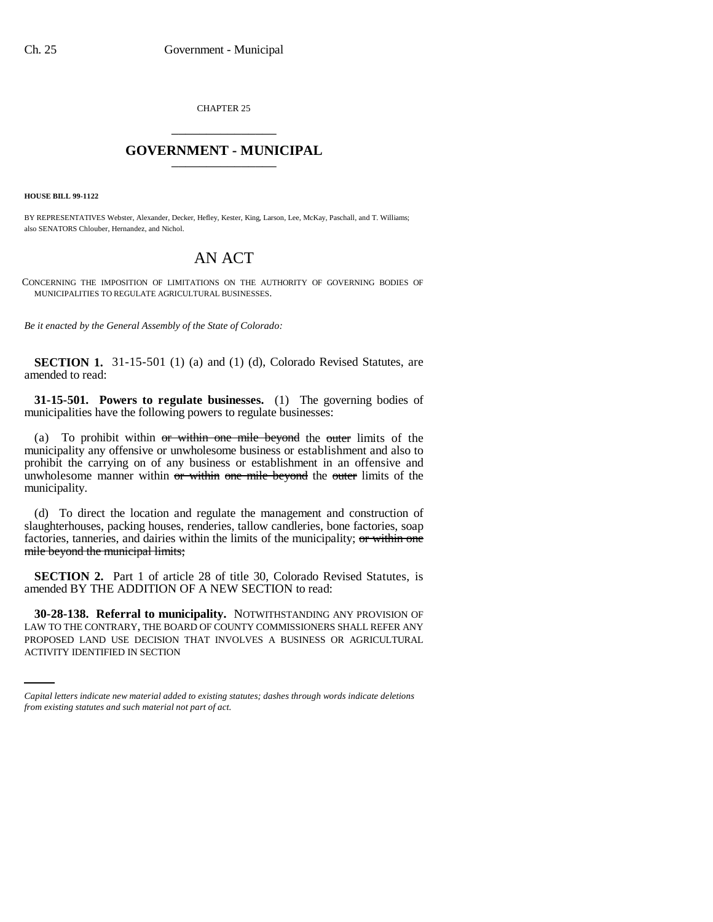CHAPTER 25 \_\_\_\_\_\_\_\_\_\_\_\_\_\_\_

## **GOVERNMENT - MUNICIPAL** \_\_\_\_\_\_\_\_\_\_\_\_\_\_\_

**HOUSE BILL 99-1122** 

BY REPRESENTATIVES Webster, Alexander, Decker, Hefley, Kester, King, Larson, Lee, McKay, Paschall, and T. Williams; also SENATORS Chlouber, Hernandez, and Nichol.

## AN ACT

CONCERNING THE IMPOSITION OF LIMITATIONS ON THE AUTHORITY OF GOVERNING BODIES OF MUNICIPALITIES TO REGULATE AGRICULTURAL BUSINESSES.

*Be it enacted by the General Assembly of the State of Colorado:*

**SECTION 1.** 31-15-501 (1) (a) and (1) (d), Colorado Revised Statutes, are amended to read:

**31-15-501. Powers to regulate businesses.** (1) The governing bodies of municipalities have the following powers to regulate businesses:

(a) To prohibit within or within one mile beyond the outer limits of the municipality any offensive or unwholesome business or establishment and also to prohibit the carrying on of any business or establishment in an offensive and unwholesome manner within or within one mile beyond the outer limits of the municipality.

(d) To direct the location and regulate the management and construction of slaughterhouses, packing houses, renderies, tallow candleries, bone factories, soap factories, tanneries, and dairies within the limits of the municipality; or within one mile beyond the municipal limits;

**SECTION 2.** Part 1 of article 28 of title 30, Colorado Revised Statutes, is amended BY THE ADDITION OF A NEW SECTION to read:

LAW TO THE CONTRARY, THE BOARD OF COUNTY COMMISSIONERS SHALL REFER ANY **30-28-138. Referral to municipality.** NOTWITHSTANDING ANY PROVISION OF PROPOSED LAND USE DECISION THAT INVOLVES A BUSINESS OR AGRICULTURAL ACTIVITY IDENTIFIED IN SECTION

*Capital letters indicate new material added to existing statutes; dashes through words indicate deletions from existing statutes and such material not part of act.*